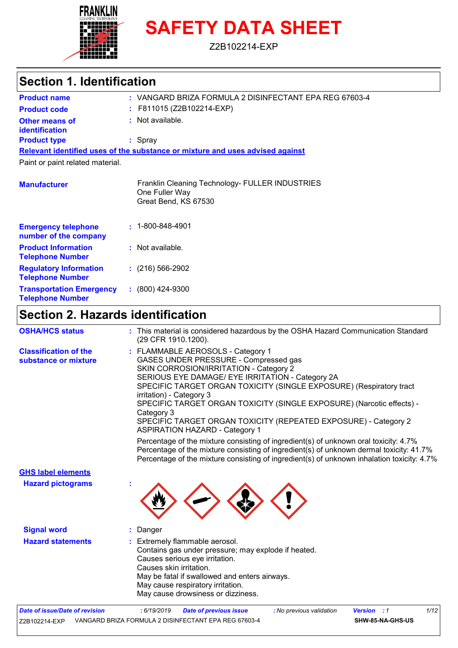

# **SAFETY DATA SHEET**

Z2B102214-EXP

### **Section 1. Identification**

| : VANGARD BRIZA FORMULA 2 DISINFECTANT EPA REG 67603-4<br><b>Product name</b> |                                                                                           |  |  |  |
|-------------------------------------------------------------------------------|-------------------------------------------------------------------------------------------|--|--|--|
| <b>Product code</b>                                                           | $:$ F811015 (Z2B102214-EXP)                                                               |  |  |  |
| Other means of<br>identification                                              | $:$ Not available.                                                                        |  |  |  |
| <b>Product type</b>                                                           | $:$ Spray                                                                                 |  |  |  |
|                                                                               | Relevant identified uses of the substance or mixture and uses advised against             |  |  |  |
| Paint or paint related material.                                              |                                                                                           |  |  |  |
| <b>Manufacturer</b>                                                           | Franklin Cleaning Technology- FULLER INDUSTRIES<br>One Fuller Way<br>Great Bend, KS 67530 |  |  |  |
| <b>Emergency telephone</b><br>number of the company                           | $\cdot$ 1-800-848-4901                                                                    |  |  |  |
| <b>Product Information</b><br><b>Telephone Number</b>                         | $:$ Not available.                                                                        |  |  |  |

| 19191191101111111011            |                      |
|---------------------------------|----------------------|
| <b>Regulatory Information</b>   | $: (216) 566 - 2902$ |
| <b>Telephone Number</b>         |                      |
| <b>Transportation Emergency</b> | $: (800)$ 424-9300   |
| <b>Telephone Number</b>         |                      |

### **Section 2. Hazards identification**

| <b>OSHA/HCS status</b>                               | : This material is considered hazardous by the OSHA Hazard Communication Standard<br>(29 CFR 1910.1200).                                                                                                                                                                                                                                                                                                                                                                       |
|------------------------------------------------------|--------------------------------------------------------------------------------------------------------------------------------------------------------------------------------------------------------------------------------------------------------------------------------------------------------------------------------------------------------------------------------------------------------------------------------------------------------------------------------|
| <b>Classification of the</b><br>substance or mixture | : FLAMMABLE AEROSOLS - Category 1<br>GASES UNDER PRESSURE - Compressed gas<br>SKIN CORROSION/IRRITATION - Category 2<br>SERIOUS EYE DAMAGE/ EYE IRRITATION - Category 2A<br>SPECIFIC TARGET ORGAN TOXICITY (SINGLE EXPOSURE) (Respiratory tract<br>irritation) - Category 3<br>SPECIFIC TARGET ORGAN TOXICITY (SINGLE EXPOSURE) (Narcotic effects) -<br>Category 3<br>SPECIFIC TARGET ORGAN TOXICITY (REPEATED EXPOSURE) - Category 2<br><b>ASPIRATION HAZARD - Category 1</b> |
|                                                      | Percentage of the mixture consisting of ingredient(s) of unknown oral toxicity: 4.7%<br>Percentage of the mixture consisting of ingredient(s) of unknown dermal toxicity: 41.7%<br>Percentage of the mixture consisting of ingredient(s) of unknown inhalation toxicity: 4.7%                                                                                                                                                                                                  |
| <b>GHS label elements</b>                            |                                                                                                                                                                                                                                                                                                                                                                                                                                                                                |
| <b>Hazard pictograms</b>                             |                                                                                                                                                                                                                                                                                                                                                                                                                                                                                |
| <b>Signal word</b>                                   | Danger                                                                                                                                                                                                                                                                                                                                                                                                                                                                         |
| <b>Hazard statements</b>                             | Extremely flammable aerosol.<br>Contains gas under pressure; may explode if heated.<br>Causes serious eye irritation.<br>Causes skin irritation.<br>May be fatal if swallowed and enters airways.<br>May cause respiratory irritation.<br>May cause drowsiness or dizziness.                                                                                                                                                                                                   |
| <b>Date of issue/Date of revision</b>                | : No previous validation<br>1/12<br>: 6/19/2019<br><b>Date of previous issue</b><br><b>Version</b> : 1                                                                                                                                                                                                                                                                                                                                                                         |
| Z2B102214-EXP                                        | VANGARD BRIZA FORMULA 2 DISINFECTANT EPA REG 67603-4<br>SHW-85-NA-GHS-US                                                                                                                                                                                                                                                                                                                                                                                                       |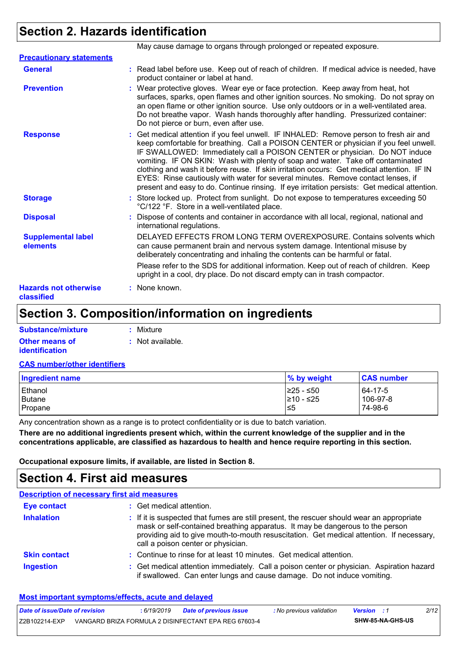## **Section 2. Hazards identification**

| May cause damage to organs through prolonged or repeated exposure.                                                                                                                                                                                                                                                                                                                                                                                                                                                                                                                                                                 |
|------------------------------------------------------------------------------------------------------------------------------------------------------------------------------------------------------------------------------------------------------------------------------------------------------------------------------------------------------------------------------------------------------------------------------------------------------------------------------------------------------------------------------------------------------------------------------------------------------------------------------------|
|                                                                                                                                                                                                                                                                                                                                                                                                                                                                                                                                                                                                                                    |
| : Read label before use. Keep out of reach of children. If medical advice is needed, have<br>product container or label at hand.                                                                                                                                                                                                                                                                                                                                                                                                                                                                                                   |
| : Wear protective gloves. Wear eye or face protection. Keep away from heat, hot<br>surfaces, sparks, open flames and other ignition sources. No smoking. Do not spray on<br>an open flame or other ignition source. Use only outdoors or in a well-ventilated area.<br>Do not breathe vapor. Wash hands thoroughly after handling. Pressurized container:<br>Do not pierce or burn, even after use.                                                                                                                                                                                                                                |
| : Get medical attention if you feel unwell. IF INHALED: Remove person to fresh air and<br>keep comfortable for breathing. Call a POISON CENTER or physician if you feel unwell.<br>IF SWALLOWED: Immediately call a POISON CENTER or physician. Do NOT induce<br>vomiting. IF ON SKIN: Wash with plenty of soap and water. Take off contaminated<br>clothing and wash it before reuse. If skin irritation occurs: Get medical attention. IF IN<br>EYES: Rinse cautiously with water for several minutes. Remove contact lenses, if<br>present and easy to do. Continue rinsing. If eye irritation persists: Get medical attention. |
| : Store locked up. Protect from sunlight. Do not expose to temperatures exceeding 50<br>°C/122 °F. Store in a well-ventilated place.                                                                                                                                                                                                                                                                                                                                                                                                                                                                                               |
| : Dispose of contents and container in accordance with all local, regional, national and<br>international regulations.                                                                                                                                                                                                                                                                                                                                                                                                                                                                                                             |
| DELAYED EFFECTS FROM LONG TERM OVEREXPOSURE. Contains solvents which<br>can cause permanent brain and nervous system damage. Intentional misuse by<br>deliberately concentrating and inhaling the contents can be harmful or fatal.                                                                                                                                                                                                                                                                                                                                                                                                |
| Please refer to the SDS for additional information. Keep out of reach of children. Keep<br>upright in a cool, dry place. Do not discard empty can in trash compactor.                                                                                                                                                                                                                                                                                                                                                                                                                                                              |
| : None known.                                                                                                                                                                                                                                                                                                                                                                                                                                                                                                                                                                                                                      |
|                                                                                                                                                                                                                                                                                                                                                                                                                                                                                                                                                                                                                                    |

### **Section 3. Composition/information on ingredients**

| Substance/mixture     | : Mixture        |
|-----------------------|------------------|
| <b>Other means of</b> | : Not available. |
| <i>identification</i> |                  |

#### **CAS number/other identifiers**

| <b>Ingredient name</b> | % by weight | <b>CAS number</b> |
|------------------------|-------------|-------------------|
| Ethanol                | 1≥25 - ≤50  | 64-17-5           |
| Butane                 | I≥10 - ≤25  | 106-97-8          |
| Propane                | 5≥ا         | 74-98-6           |

Any concentration shown as a range is to protect confidentiality or is due to batch variation.

**There are no additional ingredients present which, within the current knowledge of the supplier and in the concentrations applicable, are classified as hazardous to health and hence require reporting in this section.**

**Occupational exposure limits, if available, are listed in Section 8.**

### **Section 4. First aid measures**

| <b>Description of necessary first aid measures</b> |                                                                                                                                                                                                                                                                                                              |
|----------------------------------------------------|--------------------------------------------------------------------------------------------------------------------------------------------------------------------------------------------------------------------------------------------------------------------------------------------------------------|
| <b>Eye contact</b>                                 | : Get medical attention.                                                                                                                                                                                                                                                                                     |
| <b>Inhalation</b>                                  | : If it is suspected that fumes are still present, the rescuer should wear an appropriate<br>mask or self-contained breathing apparatus. It may be dangerous to the person<br>providing aid to give mouth-to-mouth resuscitation. Get medical attention. If necessary,<br>call a poison center or physician. |
| <b>Skin contact</b>                                | : Continue to rinse for at least 10 minutes. Get medical attention.                                                                                                                                                                                                                                          |
| <b>Ingestion</b>                                   | : Get medical attention immediately. Call a poison center or physician. Aspiration hazard<br>if swallowed. Can enter lungs and cause damage. Do not induce vomiting.                                                                                                                                         |

#### **Most important symptoms/effects, acute and delayed**

| Date of issue/Date of revision | 6/19/2019 | <b>Date of previous issue</b>                        | : No previous validation | <b>Version</b> : 1 |                  | 2/12 |
|--------------------------------|-----------|------------------------------------------------------|--------------------------|--------------------|------------------|------|
| Z2B102214-EXP                  |           | VANGARD BRIZA FORMULA 2 DISINFECTANT EPA REG 67603-4 |                          |                    | SHW-85-NA-GHS-US |      |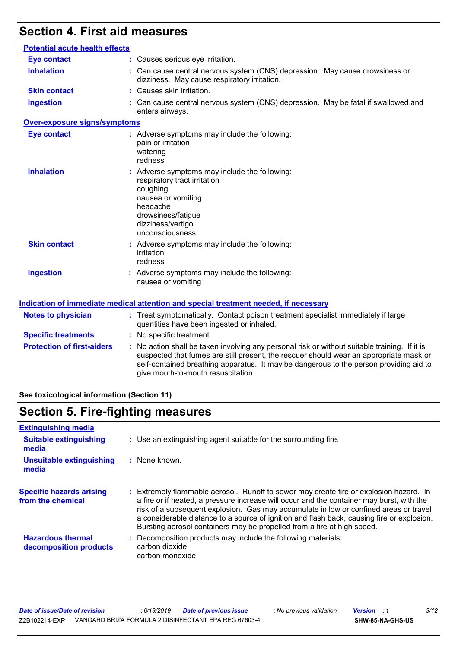# **Section 4. First aid measures**

| <b>Eye contact</b>                |                                                                                                                                                                                                                                                                                                                         |
|-----------------------------------|-------------------------------------------------------------------------------------------------------------------------------------------------------------------------------------------------------------------------------------------------------------------------------------------------------------------------|
|                                   | : Causes serious eye irritation.                                                                                                                                                                                                                                                                                        |
| <b>Inhalation</b>                 | : Can cause central nervous system (CNS) depression. May cause drowsiness or<br>dizziness. May cause respiratory irritation.                                                                                                                                                                                            |
| <b>Skin contact</b>               | : Causes skin irritation.                                                                                                                                                                                                                                                                                               |
| <b>Ingestion</b>                  | : Can cause central nervous system (CNS) depression. May be fatal if swallowed and<br>enters airways.                                                                                                                                                                                                                   |
| Over-exposure signs/symptoms      |                                                                                                                                                                                                                                                                                                                         |
| <b>Eye contact</b>                | : Adverse symptoms may include the following:<br>pain or irritation<br>watering<br>redness                                                                                                                                                                                                                              |
| <b>Inhalation</b>                 | : Adverse symptoms may include the following:<br>respiratory tract irritation<br>coughing<br>nausea or vomiting<br>headache<br>drowsiness/fatigue<br>dizziness/vertigo<br>unconsciousness                                                                                                                               |
| <b>Skin contact</b>               | : Adverse symptoms may include the following:<br>irritation<br>redness                                                                                                                                                                                                                                                  |
| <b>Ingestion</b>                  | : Adverse symptoms may include the following:<br>nausea or vomiting                                                                                                                                                                                                                                                     |
|                                   | <u>Indication of immediate medical attention and special treatment needed, if necessary</u>                                                                                                                                                                                                                             |
| <b>Notes to physician</b>         | : Treat symptomatically. Contact poison treatment specialist immediately if large<br>quantities have been ingested or inhaled.                                                                                                                                                                                          |
| <b>Specific treatments</b>        | : No specific treatment.                                                                                                                                                                                                                                                                                                |
| <b>Protection of first-aiders</b> | : No action shall be taken involving any personal risk or without suitable training. If it is<br>suspected that fumes are still present, the rescuer should wear an appropriate mask or<br>self-contained breathing apparatus. It may be dangerous to the person providing aid to<br>give mouth-to-mouth resuscitation. |

#### **See toxicological information (Section 11)**

# **Section 5. Fire-fighting measures**

| <b>Extinguishing media</b>                           |                                                                                                                                                                                                                                                                                                                                                                                                                                                       |  |  |  |
|------------------------------------------------------|-------------------------------------------------------------------------------------------------------------------------------------------------------------------------------------------------------------------------------------------------------------------------------------------------------------------------------------------------------------------------------------------------------------------------------------------------------|--|--|--|
| <b>Suitable extinguishing</b><br>media               | : Use an extinguishing agent suitable for the surrounding fire.                                                                                                                                                                                                                                                                                                                                                                                       |  |  |  |
| <b>Unsuitable extinguishing</b><br>media             | : None known.                                                                                                                                                                                                                                                                                                                                                                                                                                         |  |  |  |
| <b>Specific hazards arising</b><br>from the chemical | : Extremely flammable aerosol. Runoff to sewer may create fire or explosion hazard. In<br>a fire or if heated, a pressure increase will occur and the container may burst, with the<br>risk of a subsequent explosion. Gas may accumulate in low or confined areas or travel<br>a considerable distance to a source of ignition and flash back, causing fire or explosion.<br>Bursting aerosol containers may be propelled from a fire at high speed. |  |  |  |
| <b>Hazardous thermal</b><br>decomposition products   | Decomposition products may include the following materials:<br>carbon dioxide<br>carbon monoxide                                                                                                                                                                                                                                                                                                                                                      |  |  |  |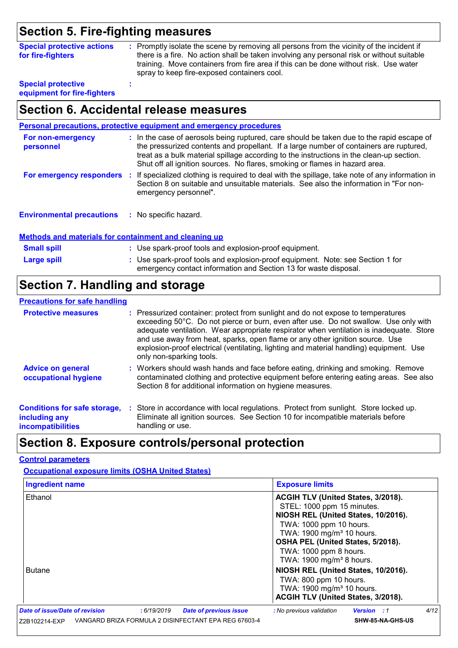### **Section 5. Fire-fighting measures**

| <b>Special protective actions</b> | : Promptly isolate the scene by removing all persons from the vicinity of the incident if                                                                                                                                        |
|-----------------------------------|----------------------------------------------------------------------------------------------------------------------------------------------------------------------------------------------------------------------------------|
| for fire-fighters                 | there is a fire. No action shall be taken involving any personal risk or without suitable<br>training. Move containers from fire area if this can be done without risk. Use water<br>spray to keep fire-exposed containers cool. |
| <b>Special protective</b>         |                                                                                                                                                                                                                                  |

**Special protective equipment for fire-fighters**

### **Section 6. Accidental release measures**

|                                  | <b>Personal precautions, protective equipment and emergency procedures</b>                                                                                                                                                                                                                                                                                     |
|----------------------------------|----------------------------------------------------------------------------------------------------------------------------------------------------------------------------------------------------------------------------------------------------------------------------------------------------------------------------------------------------------------|
| For non-emergency<br>personnel   | : In the case of aerosols being ruptured, care should be taken due to the rapid escape of<br>the pressurized contents and propellant. If a large number of containers are ruptured,<br>treat as a bulk material spillage according to the instructions in the clean-up section.<br>Shut off all ignition sources. No flares, smoking or flames in hazard area. |
| For emergency responders         | : If specialized clothing is required to deal with the spillage, take note of any information in<br>Section 8 on suitable and unsuitable materials. See also the information in "For non-<br>emergency personnel".                                                                                                                                             |
| <b>Environmental precautions</b> | : No specific hazard.                                                                                                                                                                                                                                                                                                                                          |

#### **Methods and materials for containment and cleaning up**

| <b>Small spill</b> | : Use spark-proof tools and explosion-proof equipment.                                                                                             |
|--------------------|----------------------------------------------------------------------------------------------------------------------------------------------------|
| Large spill        | : Use spark-proof tools and explosion-proof equipment. Note: see Section 1 for<br>emergency contact information and Section 13 for waste disposal. |

## **Section 7. Handling and storage**

#### **Precautions for safe handling**

| <b>Protective measures</b>                                                       | : Pressurized container: protect from sunlight and do not expose to temperatures<br>exceeding 50°C. Do not pierce or burn, even after use. Do not swallow. Use only with<br>adequate ventilation. Wear appropriate respirator when ventilation is inadequate. Store<br>and use away from heat, sparks, open flame or any other ignition source. Use<br>explosion-proof electrical (ventilating, lighting and material handling) equipment. Use<br>only non-sparking tools. |
|----------------------------------------------------------------------------------|----------------------------------------------------------------------------------------------------------------------------------------------------------------------------------------------------------------------------------------------------------------------------------------------------------------------------------------------------------------------------------------------------------------------------------------------------------------------------|
| <b>Advice on general</b><br>occupational hygiene                                 | : Workers should wash hands and face before eating, drinking and smoking. Remove<br>contaminated clothing and protective equipment before entering eating areas. See also<br>Section 8 for additional information on hygiene measures.                                                                                                                                                                                                                                     |
| <b>Conditions for safe storage,</b><br>including any<br><b>incompatibilities</b> | : Store in accordance with local regulations. Protect from sunlight. Store locked up.<br>Eliminate all ignition sources. See Section 10 for incompatible materials before<br>handling or use.                                                                                                                                                                                                                                                                              |

### **Section 8. Exposure controls/personal protection**

#### **Control parameters**

**Occupational exposure limits (OSHA United States)**

| <b>Ingredient name</b>                                                                                                                                        |  | <b>Exposure limits</b>                                                                                                                                                                                                                                                             |                                                                                                                                              |      |  |  |
|---------------------------------------------------------------------------------------------------------------------------------------------------------------|--|------------------------------------------------------------------------------------------------------------------------------------------------------------------------------------------------------------------------------------------------------------------------------------|----------------------------------------------------------------------------------------------------------------------------------------------|------|--|--|
| Ethanol                                                                                                                                                       |  | ACGIH TLV (United States, 3/2018).<br>STEL: 1000 ppm 15 minutes.<br>NIOSH REL (United States, 10/2016).<br>TWA: 1000 ppm 10 hours.<br>TWA: 1900 mg/m <sup>3</sup> 10 hours.<br>OSHA PEL (United States, 5/2018).<br>TWA: 1000 ppm 8 hours.<br>TWA: 1900 mg/m <sup>3</sup> 8 hours. |                                                                                                                                              |      |  |  |
| <b>Butane</b>                                                                                                                                                 |  |                                                                                                                                                                                                                                                                                    | NIOSH REL (United States, 10/2016).<br>TWA: 800 ppm 10 hours.<br>TWA: 1900 mg/m <sup>3</sup> 10 hours.<br>ACGIH TLV (United States, 3/2018). |      |  |  |
| <b>Date of issue/Date of revision</b><br>:6/19/2019<br><b>Date of previous issue</b><br>VANGARD BRIZA FORMULA 2 DISINFECTANT EPA REG 67603-4<br>Z2B102214-EXP |  |                                                                                                                                                                                                                                                                                    | : No previous validation<br><b>Version</b> : 1<br>SHW-85-NA-GHS-US                                                                           | 4/12 |  |  |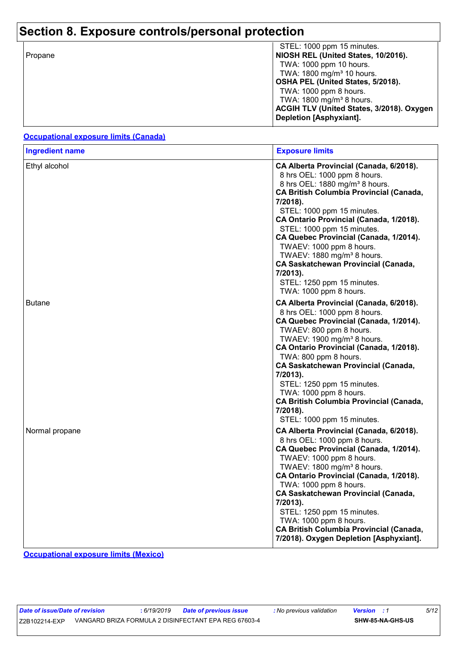# **Section 8. Exposure controls/personal protection**

| Propane | STEL: 1000 ppm 15 minutes.<br>NIOSH REL (United States, 10/2016).    |
|---------|----------------------------------------------------------------------|
|         | TWA: 1000 ppm 10 hours.<br>TWA: 1800 mg/m <sup>3</sup> 10 hours.     |
|         | OSHA PEL (United States, 5/2018).                                    |
|         | TWA: 1000 ppm 8 hours.<br>TWA: 1800 mg/m <sup>3</sup> 8 hours.       |
|         | ACGIH TLV (United States, 3/2018). Oxygen<br>Depletion [Asphyxiant]. |

#### **Occupational exposure limits (Canada)**

| <b>Ingredient name</b> | <b>Exposure limits</b>                                                                                                                                                                                                                                                                                                                                                                                                                                                                                                       |
|------------------------|------------------------------------------------------------------------------------------------------------------------------------------------------------------------------------------------------------------------------------------------------------------------------------------------------------------------------------------------------------------------------------------------------------------------------------------------------------------------------------------------------------------------------|
| Ethyl alcohol          | CA Alberta Provincial (Canada, 6/2018).<br>8 hrs OEL: 1000 ppm 8 hours.<br>8 hrs OEL: 1880 mg/m <sup>3</sup> 8 hours.<br><b>CA British Columbia Provincial (Canada,</b><br>7/2018).<br>STEL: 1000 ppm 15 minutes.<br>CA Ontario Provincial (Canada, 1/2018).<br>STEL: 1000 ppm 15 minutes.<br>CA Quebec Provincial (Canada, 1/2014).<br>TWAEV: 1000 ppm 8 hours.<br>TWAEV: 1880 mg/m <sup>3</sup> 8 hours.<br><b>CA Saskatchewan Provincial (Canada,</b><br>7/2013).<br>STEL: 1250 ppm 15 minutes.<br>TWA: 1000 ppm 8 hours. |
| <b>Butane</b>          | CA Alberta Provincial (Canada, 6/2018).<br>8 hrs OEL: 1000 ppm 8 hours.<br>CA Quebec Provincial (Canada, 1/2014).<br>TWAEV: 800 ppm 8 hours.<br>TWAEV: 1900 mg/m <sup>3</sup> 8 hours.<br>CA Ontario Provincial (Canada, 1/2018).<br>TWA: 800 ppm 8 hours.<br><b>CA Saskatchewan Provincial (Canada,</b><br>7/2013).<br>STEL: 1250 ppm 15 minutes.<br>TWA: 1000 ppm 8 hours.<br><b>CA British Columbia Provincial (Canada,</b><br>7/2018).<br>STEL: 1000 ppm 15 minutes.                                                     |
| Normal propane         | CA Alberta Provincial (Canada, 6/2018).<br>8 hrs OEL: 1000 ppm 8 hours.<br>CA Quebec Provincial (Canada, 1/2014).<br>TWAEV: 1000 ppm 8 hours.<br>TWAEV: 1800 mg/m <sup>3</sup> 8 hours.<br>CA Ontario Provincial (Canada, 1/2018).<br>TWA: 1000 ppm 8 hours.<br><b>CA Saskatchewan Provincial (Canada,</b><br>7/2013).<br>STEL: 1250 ppm 15 minutes.<br>TWA: 1000 ppm 8 hours.<br><b>CA British Columbia Provincial (Canada,</b><br>7/2018). Oxygen Depletion [Asphyxiant].                                                  |

**Occupational exposure limits (Mexico)**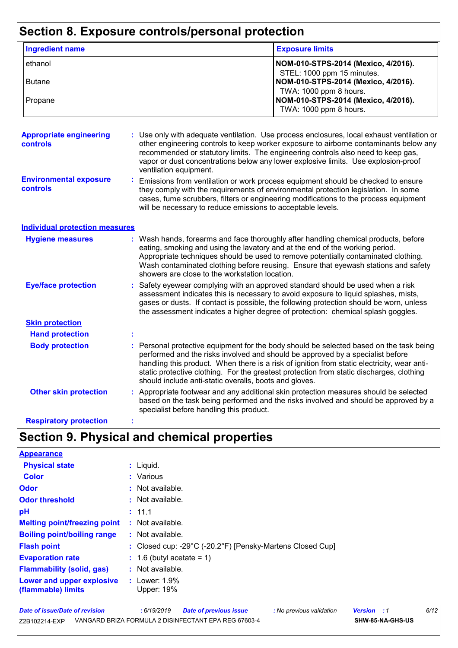# **Section 8. Exposure controls/personal protection**

| <b>Ingredient name</b>                     |   |                                                                                                                                | <b>Exposure limits</b>                                                                                                                                                                                                                                                                                                                                               |
|--------------------------------------------|---|--------------------------------------------------------------------------------------------------------------------------------|----------------------------------------------------------------------------------------------------------------------------------------------------------------------------------------------------------------------------------------------------------------------------------------------------------------------------------------------------------------------|
| ethanol                                    |   |                                                                                                                                | NOM-010-STPS-2014 (Mexico, 4/2016).<br>STEL: 1000 ppm 15 minutes.                                                                                                                                                                                                                                                                                                    |
| <b>Butane</b>                              |   |                                                                                                                                | NOM-010-STPS-2014 (Mexico, 4/2016).<br>TWA: 1000 ppm 8 hours.                                                                                                                                                                                                                                                                                                        |
| Propane                                    |   |                                                                                                                                | NOM-010-STPS-2014 (Mexico, 4/2016).<br>TWA: 1000 ppm 8 hours.                                                                                                                                                                                                                                                                                                        |
| <b>Appropriate engineering</b><br>controls |   | ventilation equipment.                                                                                                         | Use only with adequate ventilation. Use process enclosures, local exhaust ventilation or<br>other engineering controls to keep worker exposure to airborne contaminants below any<br>recommended or statutory limits. The engineering controls also need to keep gas,<br>vapor or dust concentrations below any lower explosive limits. Use explosion-proof          |
| <b>Environmental exposure</b><br>controls  |   | will be necessary to reduce emissions to acceptable levels.                                                                    | Emissions from ventilation or work process equipment should be checked to ensure<br>they comply with the requirements of environmental protection legislation. In some<br>cases, fume scrubbers, filters or engineering modifications to the process equipment                                                                                                       |
| <b>Individual protection measures</b>      |   |                                                                                                                                |                                                                                                                                                                                                                                                                                                                                                                      |
| <b>Hygiene measures</b>                    |   | eating, smoking and using the lavatory and at the end of the working period.<br>showers are close to the workstation location. | : Wash hands, forearms and face thoroughly after handling chemical products, before<br>Appropriate techniques should be used to remove potentially contaminated clothing.<br>Wash contaminated clothing before reusing. Ensure that eyewash stations and safety                                                                                                      |
| <b>Eye/face protection</b>                 |   |                                                                                                                                | Safety eyewear complying with an approved standard should be used when a risk<br>assessment indicates this is necessary to avoid exposure to liquid splashes, mists,<br>gases or dusts. If contact is possible, the following protection should be worn, unless<br>the assessment indicates a higher degree of protection: chemical splash goggles.                  |
| <b>Skin protection</b>                     |   |                                                                                                                                |                                                                                                                                                                                                                                                                                                                                                                      |
| <b>Hand protection</b>                     |   |                                                                                                                                |                                                                                                                                                                                                                                                                                                                                                                      |
| <b>Body protection</b>                     |   | should include anti-static overalls, boots and gloves.                                                                         | : Personal protective equipment for the body should be selected based on the task being<br>performed and the risks involved and should be approved by a specialist before<br>handling this product. When there is a risk of ignition from static electricity, wear anti-<br>static protective clothing. For the greatest protection from static discharges, clothing |
| <b>Other skin protection</b>               |   | specialist before handling this product.                                                                                       | : Appropriate footwear and any additional skin protection measures should be selected<br>based on the task being performed and the risks involved and should be approved by a                                                                                                                                                                                        |
| <b>Respiratory protection</b>              | t |                                                                                                                                |                                                                                                                                                                                                                                                                                                                                                                      |

# **Section 9. Physical and chemical properties**

| <b>Appearance</b>                               |                                                           |
|-------------------------------------------------|-----------------------------------------------------------|
| <b>Physical state</b>                           | : Liquid.                                                 |
| <b>Color</b>                                    | : Various                                                 |
| Odor                                            | : Not available.                                          |
| <b>Odor threshold</b>                           | $\cdot$ Not available.                                    |
| рH                                              | : 11.1                                                    |
| <b>Melting point/freezing point</b>             | : Not available.                                          |
| <b>Boiling point/boiling range</b>              | : Not available.                                          |
| <b>Flash point</b>                              | : Closed cup: -29°C (-20.2°F) [Pensky-Martens Closed Cup] |
| <b>Evaporation rate</b>                         | $: 1.6$ (butyl acetate = 1)                               |
| <b>Flammability (solid, gas)</b>                | : Not available.                                          |
| Lower and upper explosive<br>(flammable) limits | : Lower: $1.9\%$<br>Upper: 19%                            |

| Date of issue/Date of revision | 6/19/2019 | <b>Date of previous issue</b>                        | : No previous validation | <b>Version</b> : 1 |                  | 6/12 |
|--------------------------------|-----------|------------------------------------------------------|--------------------------|--------------------|------------------|------|
| Z2B102214-EXP                  |           | VANGARD BRIZA FORMULA 2 DISINFECTANT EPA REG 67603-4 |                          |                    | SHW-85-NA-GHS-US |      |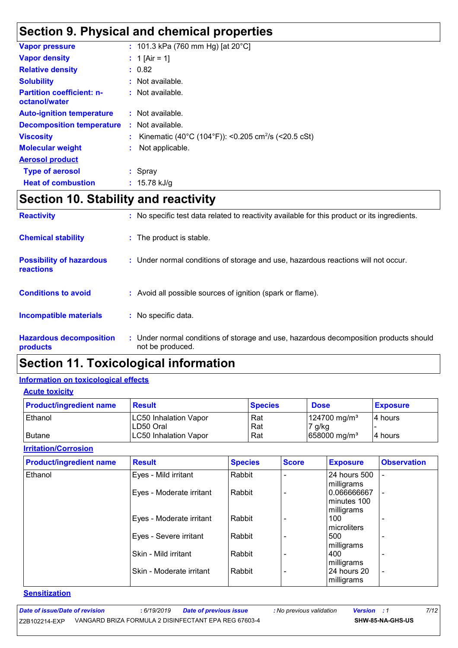### **Section 9. Physical and chemical properties**

| <b>Vapor pressure</b>                             |    | : 101.3 kPa (760 mm Hg) [at $20^{\circ}$ C]                     |
|---------------------------------------------------|----|-----------------------------------------------------------------|
| <b>Vapor density</b>                              |    | : 1 [Air = 1]                                                   |
| <b>Relative density</b>                           |    | : 0.82                                                          |
| <b>Solubility</b>                                 |    | : Not available.                                                |
| <b>Partition coefficient: n-</b><br>octanol/water |    | $:$ Not available.                                              |
| <b>Auto-ignition temperature</b>                  |    | $:$ Not available.                                              |
| <b>Decomposition temperature</b>                  |    | $:$ Not available.                                              |
| <b>Viscosity</b>                                  |    | Kinematic (40°C (104°F)): <0.205 cm <sup>2</sup> /s (<20.5 cSt) |
| <b>Molecular weight</b>                           | ÷. | Not applicable.                                                 |
| <b>Aerosol product</b>                            |    |                                                                 |
| <b>Type of aerosol</b>                            |    | $:$ Spray                                                       |
| <b>Heat of combustion</b>                         |    | : $15.78$ kJ/g                                                  |
|                                                   |    |                                                                 |

### **Section 10. Stability and reactivity**

| <b>Reactivity</b>                                   | : No specific test data related to reactivity available for this product or its ingredients.              |
|-----------------------------------------------------|-----------------------------------------------------------------------------------------------------------|
| <b>Chemical stability</b>                           | : The product is stable.                                                                                  |
| <b>Possibility of hazardous</b><br><b>reactions</b> | : Under normal conditions of storage and use, hazardous reactions will not occur.                         |
| <b>Conditions to avoid</b>                          | : Avoid all possible sources of ignition (spark or flame).                                                |
| <b>Incompatible materials</b>                       | : No specific data.                                                                                       |
| <b>Hazardous decomposition</b><br>products          | : Under normal conditions of storage and use, hazardous decomposition products should<br>not be produced. |

### **Section 11. Toxicological information**

#### **Information on toxicological effects**

**Acute toxicity**

| <b>Product/ingredient name</b> | <b>Result</b>                | <b>Species</b> | <b>Dose</b>                | <b>Exposure</b> |
|--------------------------------|------------------------------|----------------|----------------------------|-----------------|
| Ethanol                        | LC50 Inhalation Vapor        | Rat            | $124700$ mg/m <sup>3</sup> | 14 hours        |
|                                | ILD50 Oral                   | Rat            | 7 g/kg                     |                 |
| <b>Butane</b>                  | <b>LC50 Inhalation Vapor</b> | Rat            | 658000 mg/m <sup>3</sup>   | 14 hours        |

**Irritation/Corrosion**

| <b>Product/ingredient name</b> | <b>Result</b>            | <b>Species</b> | <b>Score</b> | <b>Exposure</b>                  | <b>Observation</b>       |
|--------------------------------|--------------------------|----------------|--------------|----------------------------------|--------------------------|
| Ethanol                        | Eyes - Mild irritant     | Rabbit         |              | 24 hours 500<br>milligrams       |                          |
|                                | Eyes - Moderate irritant | Rabbit         |              | 0.066666667<br>minutes 100       |                          |
|                                | Eyes - Moderate irritant | Rabbit         |              | milligrams<br>100<br>microliters |                          |
|                                | Eyes - Severe irritant   | Rabbit         |              | 500<br>milligrams                |                          |
|                                | Skin - Mild irritant     | Rabbit         |              | 400<br>milligrams                | <b>11</b>                |
|                                | Skin - Moderate irritant | Rabbit         |              | 24 hours 20<br>milligrams        | $\overline{\phantom{a}}$ |

#### **Sensitization**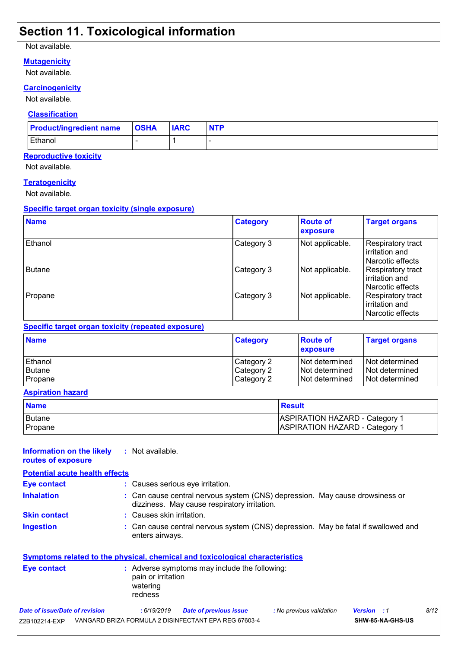### **Section 11. Toxicological information**

#### Not available.

#### **Mutagenicity**

Not available.

#### **Carcinogenicity**

Not available.

#### **Classification**

| <b>Product/ingredient name   OSHA</b> | <b>IARC</b> | <b>NTP</b> |
|---------------------------------------|-------------|------------|
| Ethanol                               |             |            |

#### **Reproductive toxicity**

Not available.

#### **Teratogenicity**

Not available.

#### **Specific target organ toxicity (single exposure)**

| <b>Name</b>   | <b>Category</b> | <b>Route of</b><br>exposure | <b>Target organs</b>                                    |
|---------------|-----------------|-----------------------------|---------------------------------------------------------|
| Ethanol       | Category 3      | Not applicable.             | Respiratory tract<br>irritation and<br>Narcotic effects |
| <b>Butane</b> | Category 3      | Not applicable.             | Respiratory tract<br>irritation and<br>Narcotic effects |
| Propane       | Category 3      | Not applicable.             | Respiratory tract<br>irritation and<br>Narcotic effects |

#### **Specific target organ toxicity (repeated exposure)**

| <b>Name</b> | <b>Category</b> | <b>Route of</b><br><b>exposure</b> | <b>Target organs</b> |
|-------------|-----------------|------------------------------------|----------------------|
| Ethanol     | Category 2      | <b>Not determined</b>              | l Not determined     |
| Butane      | Category 2      | <b>Not determined</b>              | Not determined       |
| Propane     | Category 2      | Not determined                     | Not determined       |

#### **Aspiration hazard**

| <b>Name</b>              | <b>Result</b>                                                                  |
|--------------------------|--------------------------------------------------------------------------------|
| <b>Butane</b><br>Propane | <b>ASPIRATION HAZARD - Category 1</b><br><b>ASPIRATION HAZARD - Category 1</b> |
|                          |                                                                                |

#### **Information on the likely routes of exposure :** Not available.

| <b>Potential acute health effects</b> |                                                                                                                              |
|---------------------------------------|------------------------------------------------------------------------------------------------------------------------------|
| <b>Eye contact</b>                    | : Causes serious eye irritation.                                                                                             |
| <b>Inhalation</b>                     | : Can cause central nervous system (CNS) depression. May cause drowsiness or<br>dizziness. May cause respiratory irritation. |
| <b>Skin contact</b>                   | : Causes skin irritation.                                                                                                    |
| <b>Ingestion</b>                      | : Can cause central nervous system (CNS) depression. May be fatal if swallowed and                                           |

#### **Symptoms related to the physical, chemical and toxicological characteristics**

enters airways.

| pain or irritation<br>watering<br>redness | Eye contact | : Adverse symptoms may include the following: |
|-------------------------------------------|-------------|-----------------------------------------------|
|-------------------------------------------|-------------|-----------------------------------------------|

| Date of issue/Date of revision | : 6/19/2019 | Date of previous issue                               | : No previous validation | <b>Version</b> : 1 |                         | 8/12 |
|--------------------------------|-------------|------------------------------------------------------|--------------------------|--------------------|-------------------------|------|
| Z2B102214-EXP                  |             | VANGARD BRIZA FORMULA 2 DISINFECTANT EPA REG 67603-4 |                          |                    | <b>SHW-85-NA-GHS-US</b> |      |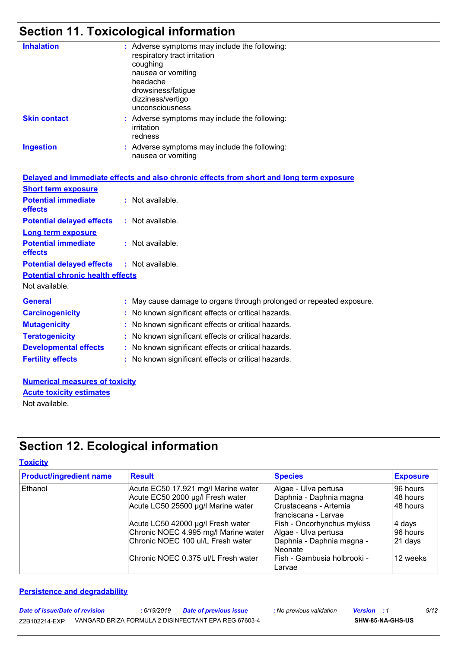# **Section 11. Toxicological information**

| <b>Inhalation</b>   | : Adverse symptoms may include the following:<br>respiratory tract irritation<br>coughing<br>nausea or vomiting<br>headache<br>drowsiness/fatigue<br>dizziness/vertigo<br>unconsciousness |
|---------------------|-------------------------------------------------------------------------------------------------------------------------------------------------------------------------------------------|
| <b>Skin contact</b> | : Adverse symptoms may include the following:<br>irritation<br>redness                                                                                                                    |
| <b>Ingestion</b>    | : Adverse symptoms may include the following:<br>nausea or vomiting                                                                                                                       |

|                                                   | Delayed and immediate effects and also chronic effects from short and long term exposure |
|---------------------------------------------------|------------------------------------------------------------------------------------------|
| <b>Short term exposure</b>                        |                                                                                          |
| <b>Potential immediate</b><br>effects             | : Not available.                                                                         |
| <b>Potential delayed effects</b>                  | $:$ Not available.                                                                       |
| Long term exposure                                |                                                                                          |
| <b>Potential immediate</b><br>effects             | : Not available.                                                                         |
| <b>Potential delayed effects : Not available.</b> |                                                                                          |
| <b>Potential chronic health effects</b>           |                                                                                          |
| Not available.                                    |                                                                                          |
| <b>General</b>                                    | : May cause damage to organs through prolonged or repeated exposure.                     |
| <b>Carcinogenicity</b>                            | : No known significant effects or critical hazards.                                      |
| <b>Mutagenicity</b>                               | : No known significant effects or critical hazards.                                      |
| <b>Teratogenicity</b>                             | : No known significant effects or critical hazards.                                      |
| <b>Developmental effects</b>                      | : No known significant effects or critical hazards.                                      |
| <b>Fertility effects</b>                          | : No known significant effects or critical hazards.                                      |

**Numerical measures of toxicity** Not available. **Acute toxicity estimates**

# **Section 12. Ecological information**

#### **Toxicity**

| <b>Product/ingredient name</b> | <b>Result</b>                        | <b>Species</b>                        | <b>Exposure</b> |
|--------------------------------|--------------------------------------|---------------------------------------|-----------------|
| Ethanol                        | Acute EC50 17.921 mg/l Marine water  | Algae - Ulva pertusa                  | 96 hours        |
|                                | Acute EC50 2000 µg/l Fresh water     | Daphnia - Daphnia magna               | 48 hours        |
|                                | Acute LC50 25500 µg/l Marine water   | Crustaceans - Artemia                 | 48 hours        |
|                                |                                      | I franciscana - Larvae                |                 |
|                                | Acute LC50 42000 µg/l Fresh water    | <b>Fish - Oncorhynchus mykiss</b>     | 4 days          |
|                                | Chronic NOEC 4.995 mg/l Marine water | Algae - Ulva pertusa                  | 96 hours        |
|                                | Chronic NOEC 100 ul/L Fresh water    | Daphnia - Daphnia magna -<br>Neonate  | 21 days         |
|                                | Chronic NOEC 0.375 ul/L Fresh water  | Fish - Gambusia holbrooki -<br>Larvae | 12 weeks        |

#### **Persistence and degradability**

| Date of issue/Date of revision | 6/19/2019 | <b>Date of previous issue</b>                        | : No previous validation | <b>Version</b> : 1 |                  | 9/12 |
|--------------------------------|-----------|------------------------------------------------------|--------------------------|--------------------|------------------|------|
| Z2B102214-EXP                  |           | VANGARD BRIZA FORMULA 2 DISINFECTANT EPA REG 67603-4 |                          |                    | SHW-85-NA-GHS-US |      |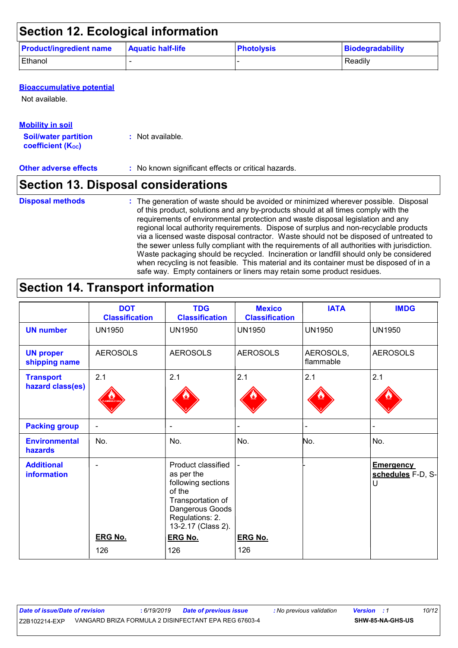| <b>Section 12. Ecological information</b> |                          |                   |                  |  |  |  |  |
|-------------------------------------------|--------------------------|-------------------|------------------|--|--|--|--|
| <b>Product/ingredient name</b>            | <b>Aquatic half-life</b> | <b>Photolysis</b> | Biodegradability |  |  |  |  |
| Ethanol                                   |                          |                   | Readily          |  |  |  |  |

#### **Bioaccumulative potential**

Not available.

#### **Mobility in soil**

**Soil/water partition coefficient (KOC) :** Not available.

**Other adverse effects** : No known significant effects or critical hazards.

### **Section 13. Disposal considerations**

The generation of waste should be avoided or minimized wherever possible. Disposal of this product, solutions and any by-products should at all times comply with the requirements of environmental protection and waste disposal legislation and any regional local authority requirements. Dispose of surplus and non-recyclable products via a licensed waste disposal contractor. Waste should not be disposed of untreated to the sewer unless fully compliant with the requirements of all authorities with jurisdiction. Waste packaging should be recycled. Incineration or landfill should only be considered when recycling is not feasible. This material and its container must be disposed of in a safe way. Empty containers or liners may retain some product residues. **Disposal methods :**

### **Section 14. Transport information**

|                                      | <b>DOT</b><br><b>Classification</b> | <b>TDG</b><br><b>Classification</b>                                                                                                               | <b>Mexico</b><br><b>Classification</b> | <b>IATA</b>            | <b>IMDG</b>                                |
|--------------------------------------|-------------------------------------|---------------------------------------------------------------------------------------------------------------------------------------------------|----------------------------------------|------------------------|--------------------------------------------|
| <b>UN number</b>                     | <b>UN1950</b>                       | <b>UN1950</b>                                                                                                                                     | <b>UN1950</b>                          | <b>UN1950</b>          | <b>UN1950</b>                              |
| <b>UN proper</b><br>shipping name    | <b>AEROSOLS</b>                     | <b>AEROSOLS</b>                                                                                                                                   | <b>AEROSOLS</b>                        | AEROSOLS,<br>flammable | <b>AEROSOLS</b>                            |
| <b>Transport</b><br>hazard class(es) | 2.1                                 | 2.1                                                                                                                                               | 2.1                                    | 2.1                    | 2.1                                        |
| <b>Packing group</b>                 |                                     |                                                                                                                                                   |                                        |                        |                                            |
| <b>Environmental</b><br>hazards      | No.                                 | No.                                                                                                                                               | No.                                    | No.                    | No.                                        |
| <b>Additional</b><br>information     |                                     | Product classified<br>as per the<br>following sections<br>of the<br>Transportation of<br>Dangerous Goods<br>Regulations: 2.<br>13-2.17 (Class 2). |                                        |                        | <b>Emergency</b><br>schedules F-D, S-<br>U |
|                                      | <b>ERG No.</b>                      | <b>ERG No.</b>                                                                                                                                    | <b>ERG No.</b>                         |                        |                                            |
|                                      | 126                                 | 126                                                                                                                                               | 126                                    |                        |                                            |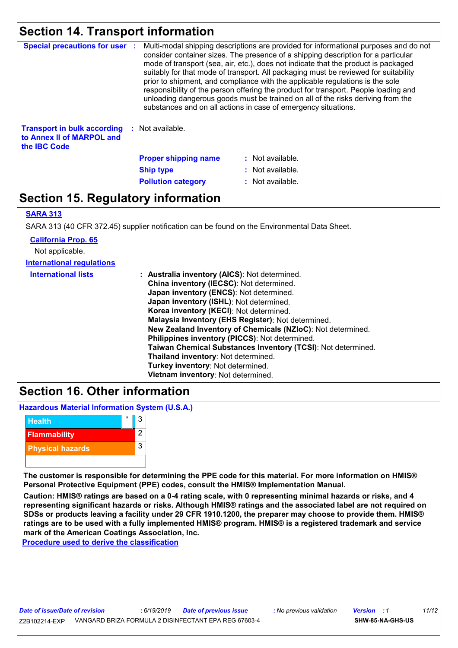### **Section 14. Transport information**

| <b>Special precautions for user :</b>                                                  | Multi-modal shipping descriptions are provided for informational purposes and do not<br>consider container sizes. The presence of a shipping description for a particular<br>mode of transport (sea, air, etc.), does not indicate that the product is packaged<br>suitably for that mode of transport. All packaging must be reviewed for suitability<br>prior to shipment, and compliance with the applicable regulations is the sole<br>responsibility of the person offering the product for transport. People loading and<br>unloading dangerous goods must be trained on all of the risks deriving from the<br>substances and on all actions in case of emergency situations. |                  |
|----------------------------------------------------------------------------------------|-------------------------------------------------------------------------------------------------------------------------------------------------------------------------------------------------------------------------------------------------------------------------------------------------------------------------------------------------------------------------------------------------------------------------------------------------------------------------------------------------------------------------------------------------------------------------------------------------------------------------------------------------------------------------------------|------------------|
| <b>Transport in bulk according</b><br>to Annex II of MARPOL and<br>the <b>IBC</b> Code | : Not available.                                                                                                                                                                                                                                                                                                                                                                                                                                                                                                                                                                                                                                                                    |                  |
|                                                                                        | <b>Proper shipping name</b>                                                                                                                                                                                                                                                                                                                                                                                                                                                                                                                                                                                                                                                         | : Not available. |
|                                                                                        | <b>Ship type</b>                                                                                                                                                                                                                                                                                                                                                                                                                                                                                                                                                                                                                                                                    | : Not available. |
|                                                                                        | <b>Pollution category</b>                                                                                                                                                                                                                                                                                                                                                                                                                                                                                                                                                                                                                                                           | : Not available. |

### **Section 15. Regulatory information**

#### **SARA 313**

SARA 313 (40 CFR 372.45) supplier notification can be found on the Environmental Data Sheet.

| <b>California Prop. 65</b>       |                                                              |
|----------------------------------|--------------------------------------------------------------|
| Not applicable.                  |                                                              |
| <b>International regulations</b> |                                                              |
| <b>International lists</b>       | : Australia inventory (AICS): Not determined.                |
|                                  | China inventory (IECSC): Not determined.                     |
|                                  | Japan inventory (ENCS): Not determined.                      |
|                                  | Japan inventory (ISHL): Not determined.                      |
|                                  | Korea inventory (KECI): Not determined.                      |
|                                  | Malaysia Inventory (EHS Register): Not determined.           |
|                                  | New Zealand Inventory of Chemicals (NZIoC): Not determined.  |
|                                  | Philippines inventory (PICCS): Not determined.               |
|                                  | Taiwan Chemical Substances Inventory (TCSI): Not determined. |
|                                  | Thailand inventory: Not determined.                          |
|                                  | <b>Turkey inventory: Not determined.</b>                     |
|                                  | Vietnam inventory: Not determined.                           |

### **Section 16. Other information**

**Hazardous Material Information System (U.S.A.)**



**The customer is responsible for determining the PPE code for this material. For more information on HMIS® Personal Protective Equipment (PPE) codes, consult the HMIS® Implementation Manual.**

**Caution: HMIS® ratings are based on a 0-4 rating scale, with 0 representing minimal hazards or risks, and 4 representing significant hazards or risks. Although HMIS® ratings and the associated label are not required on SDSs or products leaving a facility under 29 CFR 1910.1200, the preparer may choose to provide them. HMIS® ratings are to be used with a fully implemented HMIS® program. HMIS® is a registered trademark and service mark of the American Coatings Association, Inc.**

**Procedure used to derive the classification**